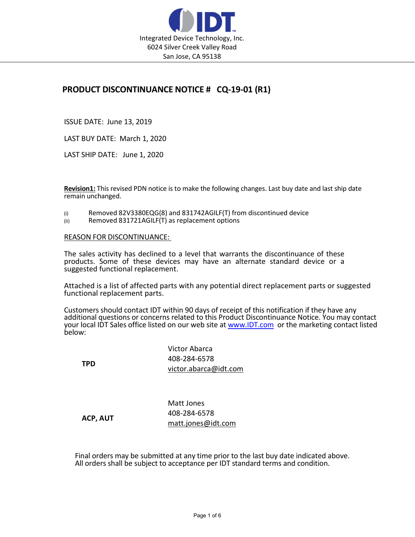

## PRODUCT DISCONTINUANCE NOTICE # CQ-19-01 (R1)

ISSUE DATE: June 13, 2019

LAST BUY DATE: March 1, 2020

LAST SHIP DATE: June 1, 2020

Revision1: This revised PDN notice is to make the following changes. Last buy date and last ship date remain unchanged.

- (i) Removed 82V3380EQG(8) and 831742AGILF(T) from discontinued device
- (ii) Removed 831721AGILF(T) as replacement options

REASON FOR DISCONTINUANCE:

The sales activity has declined to a level that warrants the discontinuance of these products. Some of these devices may have an alternate standard device or a suggested functional replacement.

Attached is a list of affected parts with any potential direct replacement parts or suggested functional replacement parts.

Customers should contact IDT within 90 days of receipt of this notification if they have any additional questions or concerns related to this Product Discontinuance Notice. You may contact your local IDT Sales office listed on our web site at www.IDT.com or the marketing contact listed below:

**TPD** Victor Abarca 408-284-6578 victor.abarca@idt.com

ACP, AUT

Matt Jones 408-284-6578 matt.jones@idt.com

Final orders may be submitted at any time prior to the last buy date indicated above. All orders shall be subject to acceptance per IDT standard terms and condition.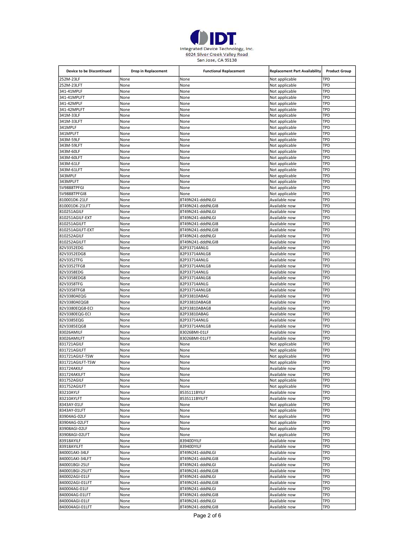

| <b>Device to be Discontinued</b>  | Drop in Replacement | <b>Functional Replacement</b>         | <b>Replacement Part Availability</b> | <b>Product Group</b> |
|-----------------------------------|---------------------|---------------------------------------|--------------------------------------|----------------------|
| 252M-23LF                         | None                | None                                  | Not applicable                       | TPD                  |
| 252M-23LFT                        | None                | None                                  | Not applicable                       | TPD                  |
| 341-41MPLF                        | None                | None                                  | Not applicable                       | TPD                  |
| 341-41MPLFT                       | None                | None                                  | Not applicable                       | TPD                  |
| 341-42MPLF                        | None                | None                                  | Not applicable                       | TPD                  |
| 341-42MPLFT                       | None                | None                                  | Not applicable                       | TPD                  |
| 341M-33LF                         | None                | None                                  | Not applicable                       | TPD                  |
| 341M-33LFT                        | None                | None                                  | Not applicable                       | TPD                  |
| 341MPLF<br>341MPLFT               | None<br>None        | None<br>None                          | Not applicable<br>Not applicable     | TPD<br>TPD           |
| 343M-59LF                         | None                | None                                  | Not applicable                       | TPD                  |
| 343M-59LFT                        | None                | None                                  | Not applicable                       | TPD                  |
| 343M-60LF                         | None                | None                                  | Not applicable                       | TPD                  |
| 343M-60LFT                        | None                | None                                  | Not applicable                       | TPD                  |
| 343M-61LF                         | None                | None                                  | Not applicable                       | TPD                  |
| 343M-61LFT                        | None                | None                                  | Not applicable                       | TPD                  |
| 343MPLF                           | None                | None                                  | Not applicable                       | TPD                  |
| 343MPLFT                          | None                | None                                  | Not applicable                       | TPD                  |
| 5V9888TPFGI                       | None                | None                                  | Not applicable                       | TPD                  |
| 5V9888TPFGI8                      | None                | None                                  | Not applicable                       | TPD                  |
| 810001DK-21LF                     | None                | 8T49N241-dddNLGI                      | Available now                        | TPD                  |
| 810001DK-21LFT                    | None                | 8T49N241-dddNLGI8                     | Available now                        | TPD                  |
| 810251AGILF<br>810251AGILF-EXT    | None<br>None        | 8T49N241-dddNLGI<br>8T49N241-dddNLGI  | Available now<br>Available now       | TPD<br>TPD           |
| 810251AGILFT                      | None                | 8T49N241-dddNLGI8                     | Available now                        | TPD                  |
| 810251AGILFT-EXT                  | None                | 8T49N241-dddNLGI8                     | Available now                        | TPD                  |
| 810252AGILF                       | None                | 8T49N241-dddNLGI                      | Available now                        | TPD                  |
| 810252AGILFT                      | None                | 8T49N241-dddNLGI8                     | Available now                        | TPD                  |
| 82V3352EDG                        | None                | 82P33714ANLG                          | Available now                        | TPD                  |
| 82V3352EDG8                       | None                | 82P33714ANLG8                         | Available now                        | TPD                  |
| 82V3352TFG                        | None                | 82P33714ANLG                          | Available now                        | TPD                  |
| 82V3352TFG8                       | None                | 82P33714ANLG8                         | Available now                        | TPD                  |
| 82V3358EDG                        | None                | 82P33714ANLG                          | Available now                        | TPD                  |
| 82V3358EDG8                       | None                | 82P33714ANLG8                         | Available now                        | TPD                  |
| 82V3358TFG                        | None                | 82P33714ANLG                          | Available now                        | TPD                  |
| 82V3358TFG8<br>82V3380AEQG        | None<br>None        | 82P33714ANLG8<br>82P33810ABAG         | Available now<br>Available now       | TPD<br>TPD           |
| 82V3380AEQG8                      | None                | 82P33810ABAG8                         | Available now                        | TPD                  |
| 82V3380EQG8-ECI                   | None                | 82P33810ABAG8                         | Available now                        | TPD                  |
| 82V3380EQG-ECI                    | None                | 82P33810ABAG                          | Available now                        | TPD                  |
| 82V3385EQG                        | None                | 82P33714ANLG                          | Available now                        | TPD                  |
| 82V3385EQG8                       | None                | 82P33714ANLG8                         | Available now                        | TPD                  |
| 83026AMILF                        | None                | 83026BMI-01LF                         | Available now                        | TPD                  |
| 83026AMILFT                       | None                | 83026BMI-01LFT                        | Available now                        | TPD                  |
| 831721AGILF                       | None                | None                                  | Not applicable                       | TPD                  |
| 831721AGILFT                      | None                | None                                  | Not applicable                       | TPD                  |
| 831721AGILF-TSW                   | None                | None                                  | Not applicable                       | TPD                  |
| 831721AGILFT-TSW                  | None                | None                                  | Not applicable                       | TPD                  |
| 831724AKILF                       | None                | None                                  | Available now                        | TPD                  |
| 831724AKILFT <br>831752AGILF      | None<br>None        | None<br>None                          | Available now<br>Not applicable      | TPD<br>TPD           |
| 831752AGILFT                      | None                | None                                  | Not applicable                       | TPD                  |
| 83210AYLF                         | None                | 853S111BYILF                          | Available now                        | TPD                  |
| 83210AYLFT                        | None                | 853S111BYILFT                         | Available now                        | TPD                  |
| 8343AY-01LF                       | None                | None                                  | Not applicable                       | TPD                  |
| 8343AY-01LFT                      | None                | None                                  | Not applicable                       | TPD                  |
| 83904AG-02LF                      | None                | None                                  | Not applicable                       | TPD                  |
| 83904AG-02LFT                     | None                | None                                  | Not applicable                       | TPD                  |
| 83908AGI-02LF                     | None                | None                                  | Not applicable                       | TPD                  |
| 83908AGI-02LFT                    | None                | None                                  | Not applicable                       | TPD                  |
| 83918AYILF                        | None                | 83940DYILF                            | Available now                        | TPD                  |
| 83918AYILFT                       | None                | 83940DYILF                            | Available now                        | TPD                  |
| 840001AKI-34LF                    | None                | 8T49N241-dddNLGI                      | Available now                        | TPD                  |
| 840001AKI-34LFT                   | None                | 8T49N241-dddNLGI8                     | Available now                        | TPD                  |
| 840001BGI-25LF<br>840001BGI-25LFT | None<br>None        | 8T49N241-dddNLGI<br>8T49N241-dddNLGI8 | Available now<br>Available now       | TPD<br>TPD           |
| 840002AGI-01LF                    | None                | 8T49N241-dddNLGI                      | Available now                        | TPD                  |
| 840002AGI-01LFT                   | None                | 8T49N241-dddNLGI8                     | Available now                        | TPD                  |
| 840004AG-01LF                     | None                | 8T49N241-dddNLGI                      | Available now                        | TPD                  |
| 840004AG-01LFT                    | None                | 8T49N241-dddNLGI8                     | Available now                        | TPD                  |
| 840004AGI-01LF                    | None                | 8T49N241-dddNLGI                      | Available now                        | TPD                  |
| 840004AGI-01LFT                   | None                | 8T49N241-dddNLGI8                     | Available now                        | TPD                  |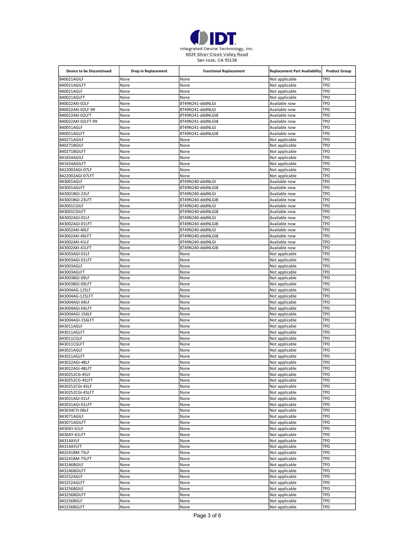

| <b>Device to be Discontinued</b>  | Drop in Replacement | <b>Functional Replacement</b>         | <b>Replacement Part Availability</b> | <b>Product Group</b> |
|-----------------------------------|---------------------|---------------------------------------|--------------------------------------|----------------------|
| 840021AGILF                       | None                | None                                  | Not applicable                       | TPD                  |
| 840021AGILFT                      | None                | None                                  | Not applicable                       | TPD                  |
| 840021AGLF                        | None                | None                                  | Not applicable                       | TPD                  |
| 840021AGLFT                       | None                | None                                  | Not applicable                       | TPD                  |
| 840022AKI-02LF                    | None                | 8T49N241-dddNLGI                      | Available now                        | TPD                  |
| 840022AKI-02LF-99                 | None                | 8T49N241-dddNLGI                      | Available now                        | TPD                  |
| 840022AKI-02LFT                   | None                | 8T49N241-dddNLGI8                     | Available now                        | TPD                  |
| 840022AKI-02LFT-99<br>840051AGLF  | None<br>None        | 8T49N241-dddNLGI8<br>8T49N241-dddNLGI | Available now<br>Available now       | TPD<br>TPD           |
| 840051AGLFT                       | None                | 8T49N241-dddNLGI8                     | Available now                        | TPD                  |
| 840271AGILF                       | None                | None                                  | Not applicable                       | TPD                  |
| 840271BGILF                       | None                | None                                  | Not applicable                       | TPD                  |
| 840271BGILFT                      | None                | None                                  | Not applicable                       | TPD                  |
| 841654AGILF                       | None                | None                                  | Not applicable                       | TPD                  |
| 841654AGILFT                      | None                | None                                  | Not applicable                       | TPD                  |
| 8422002AGI-07LF                   | None                | None                                  | Not applicable                       | TPD                  |
| 8422002AGI-07LFT                  | None                | None                                  | Not applicable                       | TPD                  |
| 843001AGLF                        | None                | 8T49N240-dddNLGI                      | Available now                        | TPD                  |
| 843001AGLFT                       | None                | 8T49N240-dddNLGI8                     | Available now                        | TPD                  |
| 843001BGI-23LF                    | None                | 8T49N240-dddNLGI                      | Available now                        | TPD                  |
| 843001BGI-23LFT<br>843001CGILF    | None<br>None        | 8T49N240-dddNLGI8<br>8T49N240-dddNLGI | Available now<br>Available now       | TPD<br>TPD           |
| 843001CGILFT                      | None                | 8T49N240-dddNLGI8                     | Available now                        | TPD                  |
| 843002AGI-01LF                    | None                | 8T49N240-dddNLGI                      | Available now                        | TPD                  |
| 843002AGI-01LFT                   | None                | 8T49N240-dddNLGI8                     | Available now                        | TPD                  |
| 843002AKI-40LF                    | None                | 8T49N240-dddNLGI                      | Available now                        | TPD                  |
| 843002AKI-40LFT                   | None                | 8T49N240-dddNLGI8                     | Available now                        | TPD                  |
| 843002AKI-41LF                    | None                | 8T49N240-dddNLGI                      | Available now                        | TPD                  |
| 843002AKI-41LFT                   | None                | 8T49N240-dddNLGI8                     | Available now                        | TPD                  |
| 843003AGI-01LF                    | None                | None                                  | Not applicable                       | TPD                  |
| 843003AGI-01LFT                   | None                | None                                  | Not applicable                       | TPD                  |
| 843003AGLF                        | None                | None                                  | Not applicable                       | TPD                  |
| 843003AGLFT                       | None                | None                                  | Not applicable                       | TPD                  |
| 843003BGI-09LF<br>843003BGI-09LFT | None<br>None        | None<br>None                          | Not applicable                       | TPD<br>TPD           |
| 843004AG-125LF                    | None                | None                                  | Not applicable<br>Not applicable     | TPD                  |
| 843004AG-125LFT                   | None                | None                                  | Not applicable                       | TPD                  |
| 843004AGI-04LF                    | None                | None                                  | Not applicable                       | TPD                  |
| 843004AGI-04LFT                   | None                | None                                  | Not applicable                       | TPD                  |
| 843004AGI-156LF                   | None                | None                                  | Not applicable                       | TPD                  |
| 843004AGI-156LFT                  | None                | None                                  | Not applicable                       | TPD                  |
| 843011AGLF                        | None                | None                                  | Not applicable                       | TPD                  |
| 843011AGLFT                       | None                | None                                  | Not applicable                       | TPD                  |
| 843011CGLF                        | None                | None                                  | Not applicable                       | TPD                  |
| 843011CGLFT                       | None                | None                                  | Not applicable                       | TPD                  |
| 843021AGLF                        | None                | None                                  | Not applicable                       | TPD                  |
| 843021AGLFT                       | None                | None                                  | Not applicable                       | TPD                  |
| 843022AGI-48LF<br>843022AGI-48LFT | None<br>None        | None<br>None                          | Not applicable<br>Not applicable     | TPD<br>TPD           |
| 8430252CG-45LF                    | None                | None                                  | Not applicable                       | TPD                  |
| 8430252CG-45LFT                   | None                | None                                  | Not applicable                       | TPD                  |
| 8430252CGI-45LF                   | None                | None                                  | Not applicable                       | TPD                  |
| 8430252CGI-45LFT                  | None                | None                                  | Not applicable                       | TPD                  |
| 843031AGI-01LF                    | None                | None                                  | Not applicable                       | TPD                  |
| 843031AGI-01LFT                   | None                | None                                  | Not applicable                       | TPD                  |
| 843034CYI-06LF                    | None                | None                                  | Not applicable                       | TPD                  |
| 843071AGILF                       | None                | None                                  | Not applicable                       | TPD                  |
| 843071AGILFT                      | None                | None                                  | Not applicable                       | TPD                  |
| 8430AY-61LF                       | None                | None                                  | Not applicable                       | TPD                  |
| 8430AY-61LFT<br>84314AYLF         | None                | None                                  | Not applicable                       | TPD<br>TPD           |
| 84314AYLFT                        | None<br>None        | None<br>None                          | Not applicable<br>Not applicable     | TPD                  |
| 843241BM-75LF                     | None                | None                                  | Not applicable                       | TPD                  |
| 843241BM-75LFT                    | None                | None                                  | Not applicable                       | TPD                  |
| 843246BGILF                       | None                | None                                  | Not applicable                       | TPD                  |
| 843246BGILFT                      | None                | None                                  | Not applicable                       | TPD                  |
| 843252AGLF                        | None                | None                                  | Not applicable                       | TPD                  |
| 843252AGLFT                       | None                | None                                  | Not applicable                       | TPD                  |
| 843256BGILF                       | None                | None                                  | Not applicable                       | TPD                  |
| 843256BGILFT                      | None                | None                                  | Not applicable                       | TPD                  |
| 843256BGLF                        | None                | None                                  | Not applicable                       | TPD                  |
| 843256BGLFT                       | None                | None                                  | Not applicable                       | TPD                  |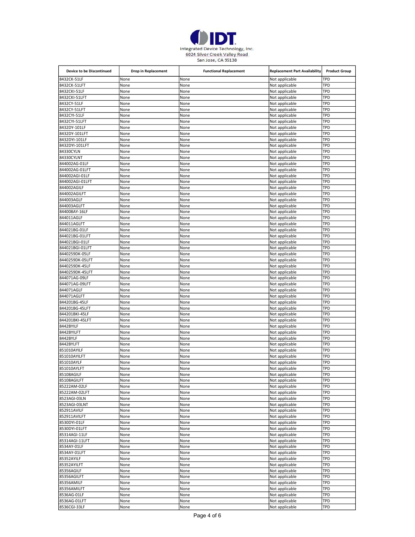

| <b>Device to be Discontinued</b> | Drop in Replacement | <b>Functional Replacement</b> | <b>Replacement Part Availability</b> | <b>Product Group</b> |
|----------------------------------|---------------------|-------------------------------|--------------------------------------|----------------------|
| 8432CK-51LF                      | None                | None                          | Not applicable                       | TPD                  |
| 8432CK-51LFT                     | None                | None                          | Not applicable                       | TPD                  |
| 8432CKI-51LF                     | None                | None                          | Not applicable                       | TPD                  |
| 8432CKI-51LFT                    | None                | None                          | Not applicable                       | TPD                  |
| 8432CY-51LF                      | None                | None                          | Not applicable                       | TPD                  |
| 8432CY-51LFT                     | None                | None                          | Not applicable                       | TPD                  |
| 8432CYI-51LF                     | None                | None                          | Not applicable                       | TPD<br>TPD           |
| 8432CYI-51LFT<br>8432DY-101LF    | None<br>None        | None<br>None                  | Not applicable<br>Not applicable     | TPD                  |
| 8432DY-101LFT                    | None                | None                          | Not applicable                       | TPD                  |
| 8432DYI-101LF                    | None                | None                          | Not applicable                       | TPD                  |
| 8432DYI-101LFT                   | None                | None                          | Not applicable                       | TPD                  |
| 84330CYLN                        | None                | None                          | Not applicable                       | TPD                  |
| 84330CYLNT                       | None                | None                          | Not applicable                       | TPD                  |
| 844002AG-01LF                    | None                | None                          | Not applicable                       | TPD                  |
| 844002AG-01LFT                   | None                | None                          | Not applicable                       | TPD                  |
| 844002AGI-01LF                   | None                | None                          | Not applicable                       | TPD                  |
| 844002AGI-01LFT                  | None                | None                          | Not applicable                       | TPD                  |
| 844002AGILF                      | None                | None                          | Not applicable                       | TPD                  |
| 844002AGILFT                     | None                | None                          | Not applicable                       | TPD                  |
| 844003AGLF<br>844003AGLFT        | None<br>None        | None<br>None                  | Not applicable                       | TPD<br>TPD           |
| 844008AY-16LF                    | None                | None                          | Not applicable<br>Not applicable     | TPD                  |
| 844011AGLF                       | None                | None                          | Not applicable                       | TPD                  |
| 844011AGLFT                      | None                | None                          | Not applicable                       | TPD                  |
| 844021BG-01LF                    | None                | None                          | Not applicable                       | TPD                  |
| 844021BG-01LFT                   | None                | None                          | Not applicable                       | TPD                  |
| 844021BGI-01LF                   | None                | None                          | Not applicable                       | TPD                  |
| 844021BGI-01LFT                  | None                | None                          | Not applicable                       | TPD                  |
| 8440259DK-05LF                   | None                | None                          | Not applicable                       | TPD                  |
| 8440259DK-05LFT                  | None                | None                          | Not applicable                       | TPD                  |
| 8440259DK-45LF                   | None                | None                          | Not applicable                       | TPD                  |
| 8440259DK-45LFT                  | None                | None                          | Not applicable                       | TPD                  |
| 844071AG-09LF                    | None                | None                          | Not applicable                       | TPD                  |
| 844071AG-09LFT<br>844071AGLF     | None<br>None        | None<br>None                  | Not applicable                       | TPD<br>TPD           |
| 844071AGLFT                      | None                | None                          | Not applicable<br>Not applicable     | TPD                  |
| 844201BG-45LF                    | None                | None                          | Not applicable                       | TPD                  |
| 844201BG-45LFT                   | None                | None                          | Not applicable                       | TPD                  |
| 844201BKI-45LF                   | None                | None                          | Not applicable                       | TPD                  |
| 844201BKI-45LFT                  | None                | None                          | Not applicable                       | TPD                  |
| 8442BYILF                        | None                | None                          | Not applicable                       | TPD                  |
| 8442BYILFT                       | None                | None                          | Not applicable                       | TPD                  |
| 8442BYLF                         | None                | None                          | Not applicable                       | TPD                  |
| 8442BYLFT                        | None                | None                          | Not applicable                       | TPD                  |
| 851010AYILF                      | None                | None                          | Not applicable                       | TPD                  |
| 851010AYILFT                     | None                | None                          | Not applicable                       | TPD                  |
| 851010AYLF<br>851010AYLFT        | None<br>None        | None<br>None                  | Not applicable<br>Not applicable     | TPD<br>TPD           |
| 85108AGILF                       | None                | None                          | Not applicable                       | TPD                  |
| 85108AGILFT                      | None                | None                          | Not applicable                       | TPD                  |
| 85222AM-02LF                     | None                | None                          | Not applicable                       | TPD                  |
| 85222AM-02LFT                    | None                | None                          | Not applicable                       | TPD                  |
| 8523AGI-03LN                     | None                | None                          | Not applicable                       | TPD                  |
| 8523AGI-03LNT                    | None                | None                          | Not applicable                       | TPD                  |
| 852911AVILF                      | None                | None                          | Not applicable                       | TPD                  |
| 852911AVILFT                     | None                | None                          | Not applicable                       | TPD                  |
| 8530DYI-01LF                     | None                | None                          | Not applicable                       | TPD                  |
| 8530DYI-01LFT                    | None                | None                          | Not applicable                       | TPD                  |
| 85314AGI-11LF                    | None                | None                          | Not applicable                       | TPD                  |
| 85314AGI-11LFT<br>8534AY-01LF    | None                | None                          | Not applicable                       | TPD<br>TPD           |
| 8534AY-01LFT                     | None<br>None        | None<br>None                  | Not applicable<br>Not applicable     | TPD                  |
| 85352AYILF                       | None                | None                          | Not applicable                       | TPD                  |
| 85352AYILFT                      | None                | None                          | Not applicable                       | TPD                  |
| 85356AGILF                       | None                | None                          | Not applicable                       | TPD                  |
| 85356AGILFT                      | None                | None                          | Not applicable                       | TPD                  |
| 85356AMILF                       | None                | None                          | Not applicable                       | TPD                  |
| 85356AMILFT                      | None                | None                          | Not applicable                       | TPD                  |
| 8536AG-01LF                      | None                | None                          | Not applicable                       | TPD                  |
| 8536AG-01LFT                     | None                | None                          | Not applicable                       | TPD                  |
| 8536CGI-33LF                     | None                | None                          | Not applicable                       | TPD                  |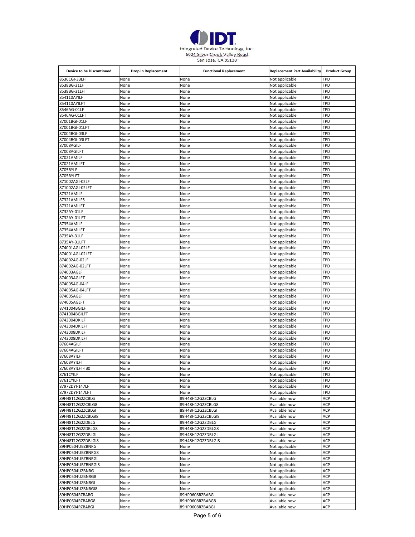

| <b>Device to be Discontinued</b>      | Drop in Replacement | <b>Functional Replacement</b> | <b>Replacement Part Availability</b> | <b>Product Group</b> |
|---------------------------------------|---------------------|-------------------------------|--------------------------------------|----------------------|
| 8536CGI-33LFT                         | None                | None                          | Not applicable                       | <b>TPD</b>           |
| 8538BG-31LF                           | None                | None                          | Not applicable                       | TPD                  |
| 8538BG-31LFT                          | None                | None                          | Not applicable                       | TPD                  |
| 854110AYILF                           | None                | None                          | Not applicable                       | TPD                  |
| 854110AYILFT                          | None                | None                          | Not applicable                       | TPD                  |
| 8546AG-01LF                           | None                | None                          | Not applicable                       | TPD                  |
| 8546AG-01LFT                          | None                | None                          | Not applicable                       | TPD                  |
| 87001BGI-01LF                         | None                | None                          | Not applicable                       | TPD                  |
| 87001BGI-01LFT<br>87004BGI-03LF       | None<br>None        | None<br>None                  | Not applicable<br>Not applicable     | TPD<br>TPD           |
| 87004BGI-03LFT                        | None                | None                          | Not applicable                       | TPD                  |
| 87008AGILF                            | None                | None                          | Not applicable                       | TPD                  |
| 87008AGILFT                           | None                | None                          | Not applicable                       | TPD                  |
| 87021AMILF                            | None                | None                          | Not applicable                       | TPD                  |
| 87021AMILFT                           | None                | None                          | Not applicable                       | TPD                  |
| 8705BYLF                              | None                | None                          | Not applicable                       | TPD                  |
| 8705BYLFT                             | None                | None                          | Not applicable                       | <b>TPD</b>           |
| 871002AGI-02LF                        | None                | None                          | Not applicable                       | <b>TPD</b>           |
| 871002AGI-02LFT                       | None                | None                          | Not applicable                       | <b>TPD</b>           |
| 87321AMILF                            | None                | None                          | Not applicable                       | TPD                  |
| 87321AMILF5                           | None                | None                          | Not applicable                       | <b>TPD</b>           |
| 87321AMILFT                           | None                | None                          | Not applicable                       | TPD<br>TPD           |
| 8732AY-01LF<br>8732AY-01LFT           | None<br>None        | None<br>None                  | Not applicable<br>Not applicable     | TPD                  |
| 87354AMILF                            | None                | None                          | Not applicable                       | TPD                  |
| 87354AMILFT                           | None                | None                          | Not applicable                       | TPD                  |
| 8735AY-31LF                           | None                | None                          | Not applicable                       | TPD                  |
| 8735AY-31LFT                          | None                | None                          | Not applicable                       | TPD                  |
| 874001AGI-02LF                        | None                | None                          | Not applicable                       | TPD                  |
| 874001AGI-02LFT                       | None                | None                          | Not applicable                       | TPD                  |
| 874002AG-02LF                         | None                | None                          | Not applicable                       | TPD                  |
| 874002AG-02LFT                        | None                | None                          | Not applicable                       | TPD                  |
| 874003AGLF                            | None                | None                          | Not applicable                       | TPD                  |
| 874003AGLFT                           | None                | None                          | Not applicable                       | TPD                  |
| 874005AG-04LF                         | None                | None                          | Not applicable                       | TPD                  |
| 874005AG-04LFT                        | None                | None                          | Not applicable                       | TPD                  |
| 874005AGLF<br>874005AGLFT             | None<br>None        | None<br>None                  | Not applicable<br>Not applicable     | TPD<br>TPD           |
| 8741004BGILF                          | None                | None                          | Not applicable                       | TPD                  |
| 8741004BGILFT                         | None                | None                          | Not applicable                       | TPD                  |
| 8743004DKILF                          | None                | None                          | Not applicable                       | TPD                  |
| 8743004DKILFT                         | None                | None                          | Not applicable                       | <b>TPD</b>           |
| 8743008DKILF                          | None                | None                          | Not applicable                       | <b>TPD</b>           |
| 8743008DKILFT                         | None                | None                          | Not applicable                       | <b>TPD</b>           |
| 87604AGILF                            | None                | None                          | Not applicable                       | TPD                  |
| 87604AGILFT                           | None                | None                          | Not applicable                       | <b>TPD</b>           |
| 87608AYILF                            | None                | None                          | Not applicable                       | TPD                  |
| 87608AYILFT                           | None                | None                          | Not applicable                       | TPD                  |
| 87608AYILFT-IB0                       | None                | None                          | Not applicable                       | <b>TPD</b>           |
| 8761CYILF<br>8761CYILFT               | None<br>None        | None<br>None                  | Not applicable<br>Not applicable     | TPD<br><b>TPD</b>    |
| 87972DYI-147LF                        | None                | None                          | Not applicable                       | TPD                  |
| 87972DYI-147LFT                       | None                | None                          | Not applicable                       | <b>TPD</b>           |
| 89H48T12G2ZCBLG                       | None                | 89H48H12G2ZCBLG               | Available now                        | ACP                  |
| 89H48T12G2ZCBLG8                      | None                | 89H48H12G2ZCBLG8              | Available now                        | ACP                  |
| 89H48T12G2ZCBLGI                      | None                | 89H48H12G2ZCBLGI              | Available now                        | ACP                  |
| 89H48T12G2ZCBLGI8                     | None                | 89H48H12G2ZCBLGI8             | Available now                        | ACP                  |
| 89H48T12G2ZDBLG                       | None                | 89H48H12G2ZDBLG               | Available now                        | ACP                  |
| 89H48T12G2ZDBLG8                      | None                | 89H48H12G2ZDBLG8              | Available now                        | ACP                  |
| 89H48T12G2ZDBLGI                      | None                | 89H48H12G2ZDBLGI              | Available now                        | ACP                  |
| 89H48T12G2ZDBLGI8                     | None                | 89H48H12G2ZDBLGI8             | Available now                        | ACP                  |
| 89HP0504UBZBNRG                       | None                | None                          | Not applicable                       | ACP                  |
| 89HP0504UBZBNRG8                      | None                | None                          | Not applicable                       | <b>ACP</b><br>ACP    |
| 89HP0504UBZBNRGI<br>89HP0504UBZBNRGI8 | None<br>None        | None<br>None                  | Not applicable<br>Not applicable     | ACP                  |
| 89HP0504UZBNRG                        | None                | None                          | Not applicable                       | <b>ACP</b>           |
| 89HP0504UZBNRG8                       | None                | None                          | Not applicable                       | <b>ACP</b>           |
| 89HP0504UZBNRGI                       | None                | None                          | Not applicable                       | ACP                  |
| 89HP0504UZBNRGI8                      | None                | None                          | Not applicable                       | ACP                  |
| 89HP0604RZBABG                        | None                | 89HP0608RZBABG                | Available now                        | ACP                  |
| 89HP0604RZBABG8                       | None                | 89HP0608RZBABG8               | Available now                        | ACP                  |
| 89HP0604RZBABGI                       | None                | 89HP0608RZBABGI               | Available now                        | ACP                  |